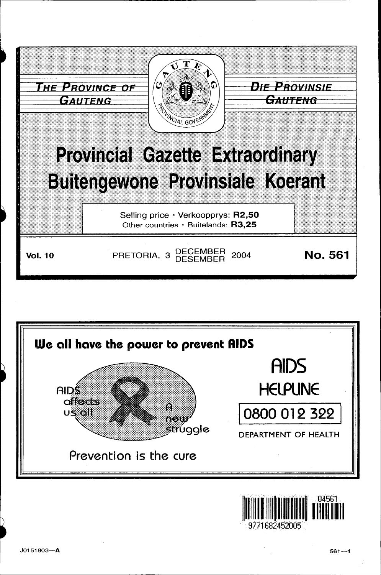



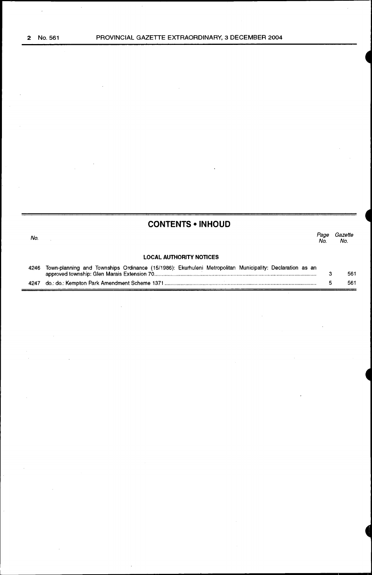$\ddot{\phantom{a}}$ 

 $\bar{z}$ 

## **CONTENTS •INHOUD**

No. **LOCAL AUTHORITY NOTICES**  Page Gazette<br>No. No. No. No.

#### 4246 Town-planning and Townships Ordinance (15/1986): Ekumuleni Metropolitan Municipality: Declaration as an approved township: Glen Marais Extension 70 ............................................................................................................ .. 4247 do.: do.: Kempton Park Amendment Scheme 1371 ...................................................................................................... . 3 5 561 561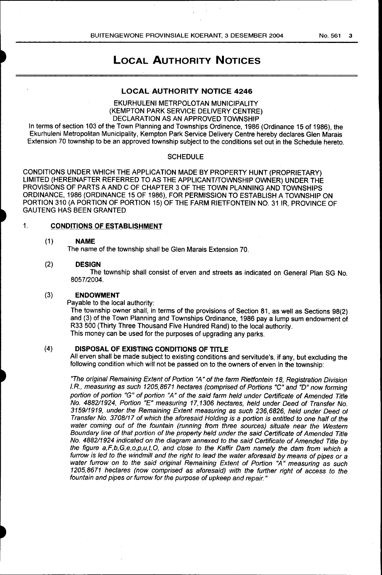## LOCAL AUTHORITY NOTICES

## LOCAL AUTHORITY NOTICE 4246

EKURHULENI METRPOLOTAN MUNICIPALITY (KEMPTON PARK SERVICE DELIVERY CENTRE) DECLARATION AS AN APPROVED TOWNSHIP

In terms of section 103 of the Town Planning and Townships Ordinence, 1986 (Ordinance 15 of 1986), the Ekurhuleni Metropolitan Municipality, Kempton Park Service Delivery Centre hereby declares Glen Marais Extension 70 township to be an approved township subject to the conditions set out in the Schedule hereto.

## **SCHEDULE**

CONDITIONS UNDER WHICH THE APPLICATION MADE BY PROPERTY HUNT (PROPRIETARY) LIMITED (HEREINAFTER REFERRED TO AS THE APPLICANT/TOWNSHIP OWNER) UNDER THE PROVISIONS OF PARTS A AND C OF CHAPTER 3 OF THE TOWN PLANNING AND TOWNSHIPS ORDINANCE, 1986 (ORDINANCE 15 OF 1986), FOR PERMISSION TO ESTABLISH A TOWNSHIP ON PORTION 310 (A PORTION OF PORTION 15) OF THE FARM RIETFONTEIN NO. 31 IR, PROVINCE OF GAUTENG HAS BEEN GRANTED

## 1. CONDITIONS OF ESTABLISHMENT

### (1) NAME

The name of the township shall be Glen Marais Extension 70.

## (2) DESIGN

The township shall consist of erven and streets as indicated on General Plan SG No. 8057/2004.

## (3) ENDOWMENT

Payable to the local authority:

The township owner shall, in terms of the provisions of Section 81, as well as Sections 98(2) and (3) of the Town Planning and Townships Ordinance, 1986 pay a lump sum endowment of R33 500 (Thirty Three Thousand Five Hundred Rand) to the local authority. This money can be used for the purposes of upgrading any parks.

## (4) DISPOSAL OF EXISTING CONDITIONS OF TITLE

All erven shall be made subject to existing conditions and servitude's, if any, but excluding the following condition which will not be passed on to the owners of erven in the township:

"The original Remaining Extent of Portion "A" of the farm Rietfontein 18, Registration Division I.R., measuring as such 1205,8671 hectares (comprised of Portions "C" and "D" now forming portion of portion "G" of portion "A" of the said farm held under Certificate of Amended Title No. 488211924, Portion "E" measuring 17,1306 hectares, held under Deed of Transfer No. 315911919, under the Remaining Extent measuring as such 236,6826, held under Deed of Transfer No. 3708117 of which the aforesaid Holding is a portion is entitled to one half of the water coming out of the fountain (running from three sources) situate near the Western Boundary line of that portion of the property held under the said Certificate of Amended Title No. 488211924 indicated on the diagram annexed to the said Certificate of Amended Title by the figure a,F,b,G,e,o,p,u,t,O, and close to the Kaffir Dam namely the dam from which a furrow is led to the windmill and the right to lead the water aforesaid by means of pipes or a water furrow on to the said original Remaining Extent of Portion "A" measuring as such 1205,8671 hectares (now comprised as aforesaid) with the further right of access to the fountain and pipes or furrow for the purpose of upkeep and repair."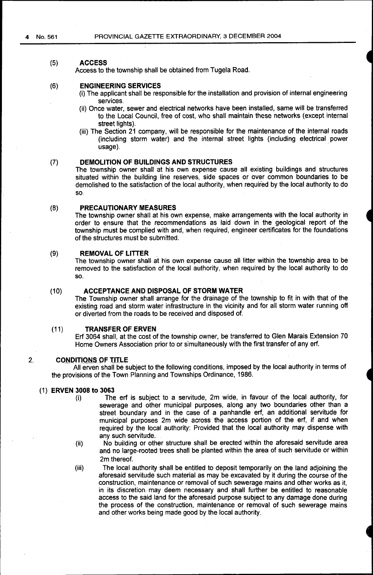#### (5) **ACCESS**

Access to the township shall be obtained from Tugela Road.

#### (6) **ENGINEERING SERVICES**

- (i) The applicant shall be responsible for the installation and provision of internal engineering services.
- (ii) Once water, sewer and electrical networks have been installed, same will be transferred to the Local Council, free of cost, who shall maintain these networks (except internal street lights).
- (iii) The Section 21 company, will be responsible for the maintenance of the internal roads (including storm water) and the internal street lights (including electrical power usage). ·

#### (7) **DEMOLITION OF BUILDINGS AND STRUCTURES**

The township owner shall at his own expense cause all existing buildings and structures situated within the building line reserves, side spaces or over common boundaries to be demolished to the satisfaction of the local authority, when required by the local authority to do so.

#### (8) **PRECAUTIONARY MEASURES**

The township owner shall at his own expense, make arrangements with the local authority in order to ensure that the recommendations as laid down in the geological report of the township must be complied with and, when required, engineer certificates for the foundations of the structures must be submitted.

#### (9) **REMOVAL OF LITTER**

The township owner shall at his own expense cause all litter within the township area to be removed to the satisfaction of the local authority, when required by the local authority to do so.

## (10) **ACCEPTANCE AND DISPOSAL OF STORM WATER**

The Township owner shall arrange for the drainage of the township to fit in with that of the existing road and storm water infrastructure in the vicinity and for all storm water running off or diverted from the roads to be received and disposed of.

## (11) **TRANSFER OF ERVEN**

Erf 3064 shall, at the cost of the township owner, be transferred to Glen Marais Extension 70 Home Owners Association prior to or simultaneously with the first transfer of any erf.

## 2. **CONDITIONS OF TITLE**

All erven shall be subject to the following conditions, imposed by the local authority in terms of the provisions of the Town Planning and Townships Ordinance, 1986.

## (1) **ERVEN 3008 to 3063**

- (i) The erf is subject to a servitude, 2m wide, in favour of the local authority, for sewerage and other municipal purposes, along any two boundaries other than a street boundary and in the case of a panhandle erf, an additional servitude for municipal purposes 2m wide across the access portion of the erf, if and when required by the local authority: Provided that the local authority may dispense with any such servitude.
- (ii) No building or other structure shall be erected within the aforesaid servitude area and no large-rooted trees shall be planted within the area of such servitude or within 2m thereof.
- (iii) The local authority shall be entitled to deposit temporarily on the land adjoining the aforesaid servitude such material as may be excavated by it during the course of the construction, maintenance or removal of such sewerage mains and other works as it, in its discretion. may deem necessary and shall further be entitled to reasonable access to the said land for the aforesaid purpose subject to any damage done during the process of the construction, maintenance or removal of such sewerage mains and other works being made good by the local authority.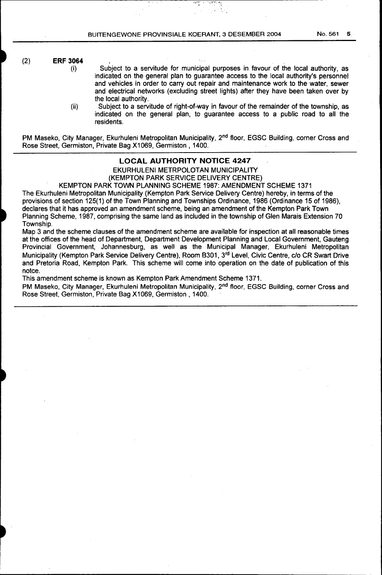## (2) **ERF 3064**  (i)

Subject to a servitude for municipal purposes in favour of the local authority, as indicated on the general plan to guarantee access to the local authority's personnel and vehicles in order to carry out repair and maintenance work to the water, sewer and electrical networks (excluding street lights) after they have been taken over by the local authority.

(ii) Subject to a servitude of right-of-way in favour of the remainder of the township, as indicated on the general plan, to guarantee access to a public road to all the residents.

PM Maseko, City Manager, Ekurhuleni Metropolitan Municipality, 2<sup>nd</sup> floor, EGSC Building, corner Cross and Rose Street, Germiston, Private Bag X1069, Germiston, 1400.

## **LOCAL AUTHORITY NOTICE 4247**  EKURHULENI METRPOLOTAN MUNICIPALITY

(KEMPTON PARK SERVICE DELIVERY CENTRE)

KEMPTON PARK TOWN PLANNING SCHEME 1987: AMENDMENT SCHEME 1371

The Ekurhuleni Metropolitan Municipality (Kempton Park Service Delivery Centre) hereby, in terms of the provisions of section 125(1) of the Town Planning and Townships Ordinance, 1986 (Ordinance 15 of 1986), declares that it has approved an amendment scheme, being an amendment of the Kempton Park Town Planning Scheme, 1987, comprising the same land as included in the township of Glen Marais Extension 70 Township.

Map 3 and the scheme clauses of the amendment scheme are available for inspection at all reasonable times at the offices of the head of Department, Department Development Planning and Local Government, Gauteng Provincial Government, Johannesburg, as well as the Municipal Manager, Ekurhuleni Metropolitan Municipality (Kempton Park Service Delivery Centre), Room B301, 3rd Level, Civic Centre, c/o CR Swart Drive and Pretoria Road, Kempton Park. This scheme will come into operation on the date of publication of this notce.

This amendment scheme is known as Kempton Park Amendment Scheme 1371.

PM Maseko, City Manager, Ekurhuleni Metropolitan Municipality, 2<sup>nd</sup> floor, EGSC Building, corner Cross and Rose Street, Germiston, Private Bag X1069, Germiston, 1400.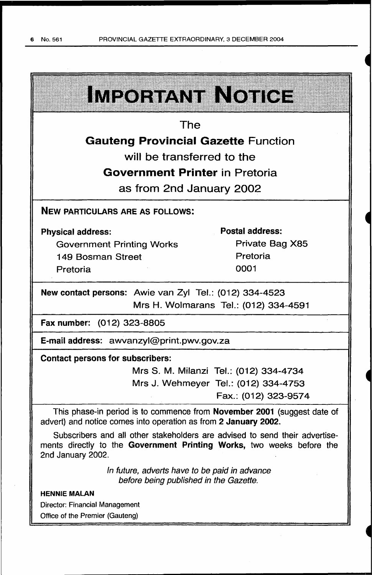| IMPORTANT NOTICE                                                                                                                                                          |                                        |
|---------------------------------------------------------------------------------------------------------------------------------------------------------------------------|----------------------------------------|
| The                                                                                                                                                                       |                                        |
| <b>Gauteng Provincial Gazette Function</b>                                                                                                                                |                                        |
| will be transferred to the                                                                                                                                                |                                        |
| <b>Government Printer in Pretoria</b>                                                                                                                                     |                                        |
| as from 2nd January 2002                                                                                                                                                  |                                        |
| <b>NEW PARTICULARS ARE AS FOLLOWS:</b>                                                                                                                                    |                                        |
| <b>Physical address:</b>                                                                                                                                                  | <b>Postal address:</b>                 |
| <b>Government Printing Works</b>                                                                                                                                          | Private Bag X85                        |
| 149 Bosman Street                                                                                                                                                         | Pretoria                               |
| Pretoria                                                                                                                                                                  | 0001                                   |
| New contact persons: Awie van Zyl Tel.: (012) 334-4523<br>Mrs H. Wolmarans Tel.: (012) 334-4591                                                                           |                                        |
| Fax number: (012) 323-8805                                                                                                                                                |                                        |
| E-mail address: awvanzyl@print.pwv.gov.za                                                                                                                                 |                                        |
| <b>Contact persons for subscribers:</b>                                                                                                                                   |                                        |
|                                                                                                                                                                           | Mrs S. M. Milanzi Tel.: (012) 334-4734 |
|                                                                                                                                                                           | Mrs J. Wehmeyer Tel.: (012) 334-4753   |
|                                                                                                                                                                           | Fax.: (012) 323-9574                   |
| This phase-in period is to commence from <b>November 2001</b> (suggest date of<br>advert) and notice comes into operation as from 2 January 2002.                         |                                        |
| Subscribers and all other stakeholders are advised to send their advertise-<br>ments directly to the Government Printing Works, two weeks before the<br>2nd January 2002. |                                        |
| In future, adverts have to be paid in advance<br>before being published in the Gazette.                                                                                   |                                        |
| <b>HENNIE MALAN</b>                                                                                                                                                       |                                        |
| <b>Director: Financial Management</b>                                                                                                                                     |                                        |
| Office of the Premier (Gauteng)                                                                                                                                           |                                        |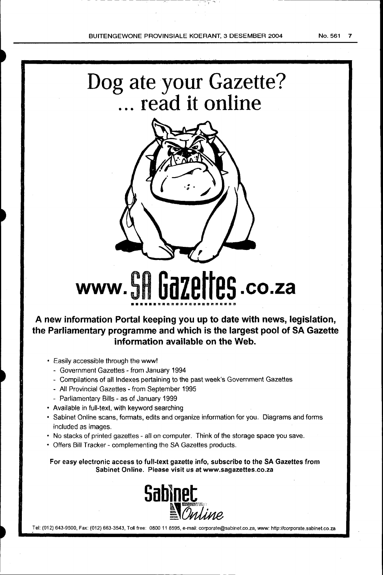## Dog ate your Gazette? ... **read it online**



# **www. SH Gazettes .co.za ••••••mamaaa•amnamaammnm**

**A new information Portal keeping you up to date with news, legislation, the Parliamentary programme and which is the largest pool of SA Gazette information available on the Web.** 

- Easily accessible through the www!
	- Government Gazettes from January 1994
	- Compilations of all Indexes pertaining to the past week's Government Gazettes
	- All Provincial Gazettes- from September 1995
	- Parliamentary Bills as of January 1999
- Available in full-text, with keyword searching
- Sabinet Online scans, formats, edits and organize information for you. Diagrams and forms included as images.
- No stacks of printed gazettes- all on computer. Think of the storage space you save.
- Offers Bill Tracker- complementing the SA Gazettes products.

For easy electronic access to full-text gazette info, subscribe to the SA Gazettes from Sabinet Online. Please visit us at www.sagazettes.co.za



Tel: (012) 643-9500, Fax: (012) 663-3543, Toll free: 0800 11 8595, e-mail: corporate@sabinet.co.za, www: http://corporate.sabinet.co.za